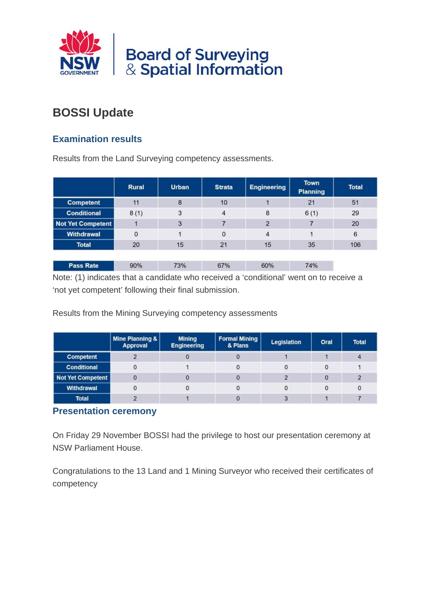

# **BOSSI Update**

# **Examination results**

Results from the Land Surveying competency assessments.

|                          | <b>Rural</b> | <b>Urban</b> | <b>Strata</b> | <b>Engineering</b> | <b>Town</b><br><b>Planning</b> | <b>Total</b> |  |
|--------------------------|--------------|--------------|---------------|--------------------|--------------------------------|--------------|--|
| <b>Competent</b>         | 11           | 8            | 10            |                    | 21                             | 51           |  |
| <b>Conditional</b>       | 8(1)         | 3            | 4             | 8                  | 6(1)                           | 29           |  |
| <b>Not Yet Competent</b> |              | 3            |               | $\overline{2}$     |                                | 20           |  |
| <b>Withdrawal</b>        | 0            |              | $\mathbf 0$   | 4                  |                                |              |  |
| <b>Total</b>             | 20           | 15           | 21            | 15                 | 35                             | 106          |  |
|                          |              |              |               |                    |                                |              |  |
| <b>Pass Rate</b>         | 90%          | 73%          | 67%           | 60%                | 74%                            |              |  |

Note: (1) indicates that a candidate who received a 'conditional' went on to receive a 'not yet competent' following their final submission.

Results from the Mining Surveying competency assessments

|                    | Mine Planning &  <br>Approval | <b>Mining</b><br><b>Engineering</b> | <b>Formal Mining</b><br>& Plans | Legislation | Oral | <b>Total</b> |  |
|--------------------|-------------------------------|-------------------------------------|---------------------------------|-------------|------|--------------|--|
| Competent          |                               |                                     |                                 |             |      |              |  |
| <b>Conditional</b> | 0                             |                                     | 0                               |             |      |              |  |
| Not Yet Competent  |                               |                                     |                                 |             |      |              |  |
| Withdrawal         |                               |                                     |                                 |             |      | 0            |  |
| <b>Total</b>       |                               |                                     |                                 |             |      |              |  |

## **Presentation ceremony**

On Friday 29 November BOSSI had the privilege to host our presentation ceremony at NSW Parliament House.

Congratulations to the 13 Land and 1 Mining Surveyor who received their certificates of competency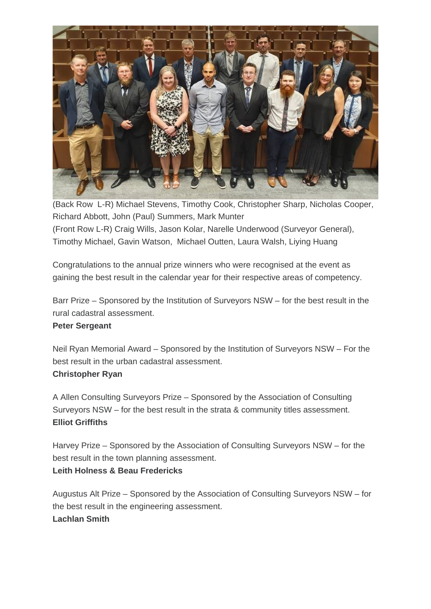

(Back Row L-R) Michael Stevens, Timothy Cook, Christopher Sharp, Nicholas Cooper, Richard Abbott, John (Paul) Summers, Mark Munter (Front Row L-R) Craig Wills, Jason Kolar, Narelle Underwood (Surveyor General), Timothy Michael, Gavin Watson, Michael Outten, Laura Walsh, Liying Huang

Congratulations to the annual prize winners who were recognised at the event as gaining the best result in the calendar year for their respective areas of competency.

Barr Prize – Sponsored by the Institution of Surveyors NSW – for the best result in the rural cadastral assessment.

#### **Peter Sergeant**

Neil Ryan Memorial Award – Sponsored by the Institution of Surveyors NSW – For the best result in the urban cadastral assessment.

#### **Christopher Ryan**

A Allen Consulting Surveyors Prize – Sponsored by the Association of Consulting Surveyors NSW – for the best result in the strata & community titles assessment. **Elliot Griffiths**

Harvey Prize – Sponsored by the Association of Consulting Surveyors NSW – for the best result in the town planning assessment.

## **Leith Holness & Beau Fredericks**

Augustus Alt Prize – Sponsored by the Association of Consulting Surveyors NSW – for the best result in the engineering assessment. **Lachlan Smith**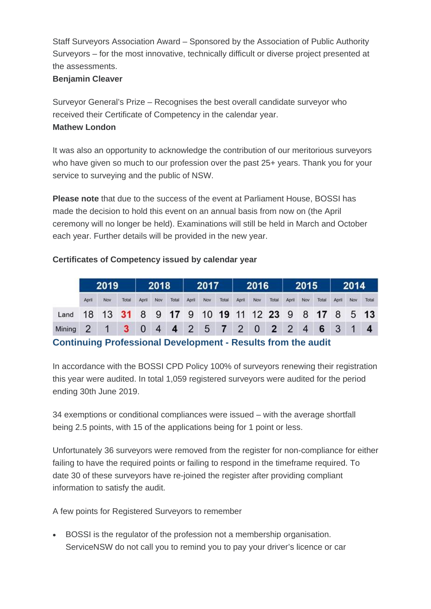Staff Surveyors Association Award – Sponsored by the Association of Public Authority Surveyors – for the most innovative, technically difficult or diverse project presented at the assessments.

#### **Benjamin Cleaver**

Surveyor General's Prize – Recognises the best overall candidate surveyor who received their Certificate of Competency in the calendar year. **Mathew London**

It was also an opportunity to acknowledge the contribution of our meritorious surveyors who have given so much to our profession over the past 25+ years. Thank you for your service to surveying and the public of NSW.

**Please note** that due to the success of the event at Parliament House, BOSSI has made the decision to hold this event on an annual basis from now on (the April ceremony will no longer be held). Examinations will still be held in March and October each year. Further details will be provided in the new year.

## **Certificates of Competency issued by calendar year**

|                                                     | 2019  |     | 2018         |                         | 2017           |       | 2016  |     | 2015  |       |     | 2014                |       |     |       |             |     |       |
|-----------------------------------------------------|-------|-----|--------------|-------------------------|----------------|-------|-------|-----|-------|-------|-----|---------------------|-------|-----|-------|-------------|-----|-------|
|                                                     | April | Nov | Total        | April                   | Nov            | Total | April | Nov | Total | April | Nov | Total               | April | Nov | Total | April       | Nov | Total |
| Land 18 13 31 8 9 17 9 10 19 11 12 23 9 8 17 8 5 13 |       |     |              |                         |                |       |       |     |       |       |     |                     |       |     |       |             |     |       |
| Mining 2                                            |       |     | $\mathbf{R}$ | $\overline{\mathbf{0}}$ | $\overline{4}$ |       |       |     |       |       |     | 4 2 5 7 2 0 2 2 4 6 |       |     |       | $3 \quad 1$ |     |       |

## **Continuing Professional Development - Results from the audit**

In accordance with the BOSSI CPD Policy 100% of surveyors renewing their registration this year were audited. In total 1,059 registered surveyors were audited for the period ending 30th June 2019.

34 exemptions or conditional compliances were issued – with the average shortfall being 2.5 points, with 15 of the applications being for 1 point or less.

Unfortunately 36 surveyors were removed from the register for non-compliance for either failing to have the required points or failing to respond in the timeframe required. To date 30 of these surveyors have re-joined the register after providing compliant information to satisfy the audit.

A few points for Registered Surveyors to remember

• BOSSI is the regulator of the profession not a membership organisation. ServiceNSW do not call you to remind you to pay your driver's licence or car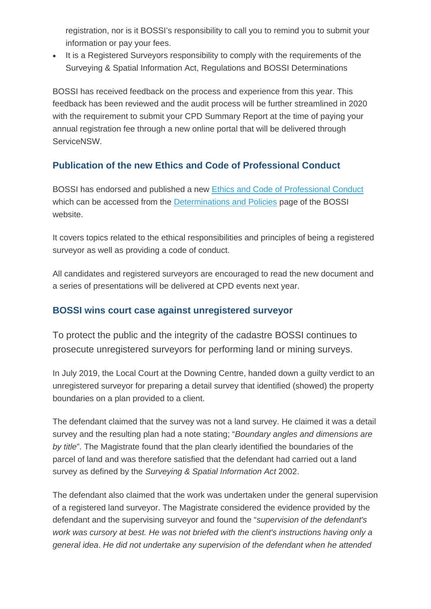registration, nor is it BOSSI's responsibility to call you to remind you to submit your information or pay your fees.

• It is a Registered Surveyors responsibility to comply with the requirements of the Surveying & Spatial Information Act, Regulations and BOSSI Determinations

BOSSI has received feedback on the process and experience from this year. This feedback has been reviewed and the audit process will be further streamlined in 2020 with the requirement to submit your CPD Summary Report at the time of paying your annual registration fee through a new online portal that will be delivered through ServiceNSW.

# **Publication of the new Ethics and Code of Professional Conduct**

BOSSI has endorsed and published a new [Ethics and Code of Professional Conduct](https://boardofsurveyingandspatialinformation.cmail20.com/t/t-l-nvykit-fydtklkkl-r/) which can be accessed from the [Determinations and Policies](https://boardofsurveyingandspatialinformation.cmail20.com/t/t-l-nvykit-fydtklkkl-y/) page of the BOSSI website.

It covers topics related to the ethical responsibilities and principles of being a registered surveyor as well as providing a code of conduct.

All candidates and registered surveyors are encouraged to read the new document and a series of presentations will be delivered at CPD events next year.

## **BOSSI wins court case against unregistered surveyor**

To protect the public and the integrity of the cadastre BOSSI continues to prosecute unregistered surveyors for performing land or mining surveys.

In July 2019, the Local Court at the Downing Centre, handed down a guilty verdict to an unregistered surveyor for preparing a detail survey that identified (showed) the property boundaries on a plan provided to a client.

The defendant claimed that the survey was not a land survey. He claimed it was a detail survey and the resulting plan had a note stating; "*Boundary angles and dimensions are by title*". The Magistrate found that the plan clearly identified the boundaries of the parcel of land and was therefore satisfied that the defendant had carried out a land survey as defined by the *Surveying & Spatial Information Act* 2002.

The defendant also claimed that the work was undertaken under the general supervision of a registered land surveyor. The Magistrate considered the evidence provided by the defendant and the supervising surveyor and found the "*supervision of the defendant's work was cursory at best. He was not briefed with the client's instructions having only a general idea*. *He did not undertake any supervision of the defendant when he attended*